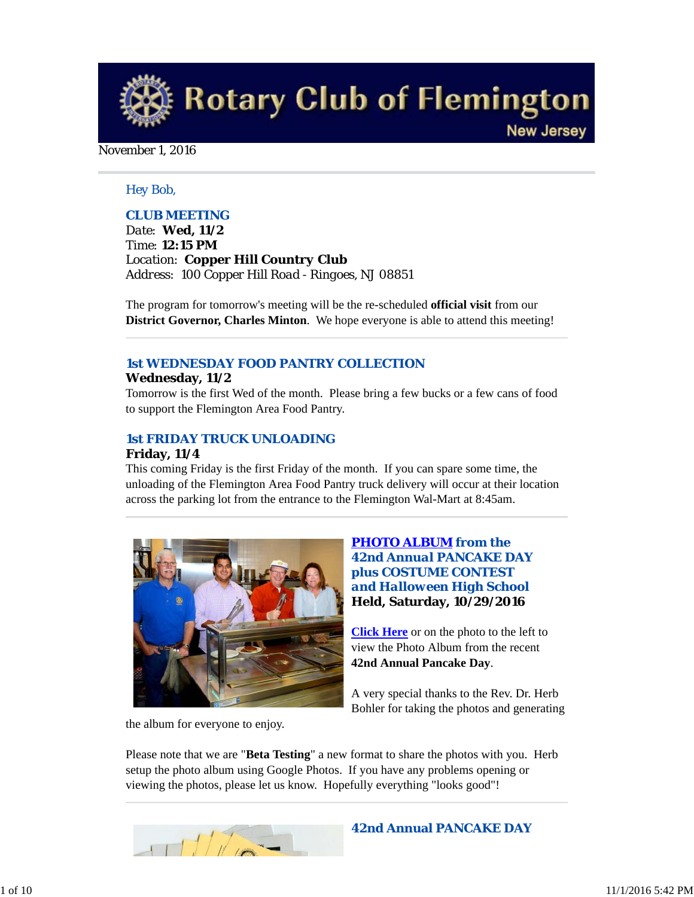**Rotary Club of Flemington New Jersey** 

#### November 1, 2016

## *Hey Bob,*

## *CLUB MEETING*

*Date: Wed, 11/2 Time: 12:15 PM Location: Copper Hill Country Club Address: 100 Copper Hill Road - Ringoes, NJ 08851*

The program for tomorrow's meeting will be the re-scheduled **official visit** from our **District Governor, Charles Minton**. We hope everyone is able to attend this meeting!

# *1st WEDNESDAY FOOD PANTRY COLLECTION*

#### **Wednesday, 11/2**

Tomorrow is the first Wed of the month. Please bring a few bucks or a few cans of food to support the Flemington Area Food Pantry.

# *1st FRIDAY TRUCK UNLOADING*

# **Friday, 11/4**

This coming Friday is the first Friday of the month. If you can spare some time, the unloading of the Flemington Area Food Pantry truck delivery will occur at their location across the parking lot from the entrance to the Flemington Wal-Mart at 8:45am.



# *PHOTO ALBUM from the 42nd Annual PANCAKE DAY plus COSTUME CONTEST and Halloween High School* **Held, Saturday, 10/29/2016**

**Click Here** or on the photo to the left to view the Photo Album from the recent **42nd Annual Pancake Day**.

A very special thanks to the Rev. Dr. Herb Bohler for taking the photos and generating

the album for everyone to enjoy.

Please note that we are "**Beta Testing**" a new format to share the photos with you. Herb setup the photo album using Google Photos. If you have any problems opening or viewing the photos, please let us know. Hopefully everything "looks good"!

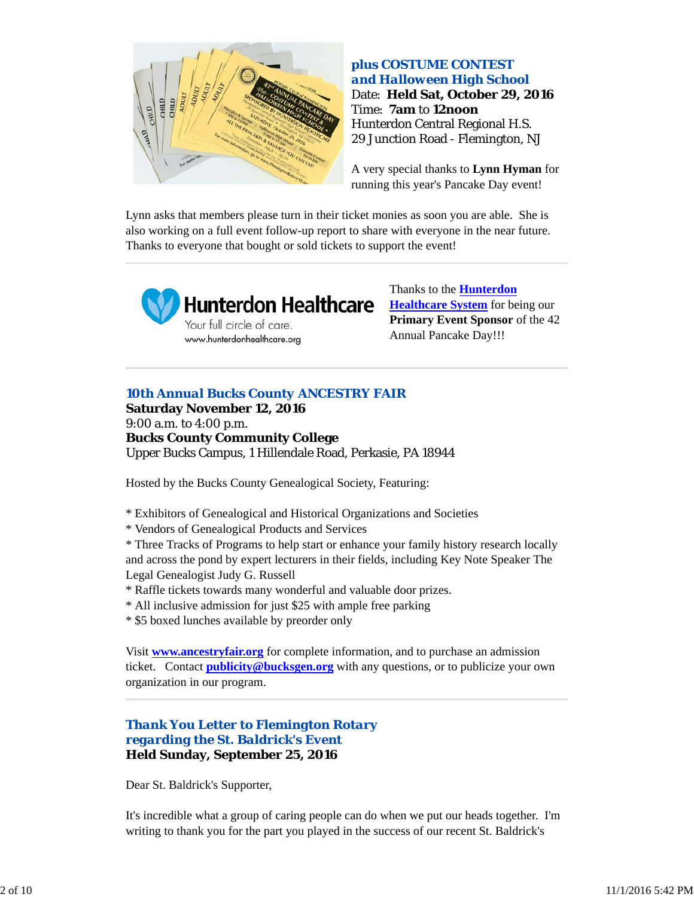

# **plus COSTUME CONTEST**  *and Halloween High School* Date: **Held Sat, October 29, 2016** Time: **7am** to **12noon** Hunterdon Central Regional H.S. 29 Junction Road - Flemington, NJ

A very special thanks to **Lynn Hyman** for running this year's Pancake Day event!

Lynn asks that members please turn in their ticket monies as soon you are able. She is also working on a full event follow-up report to share with everyone in the near future. Thanks to everyone that bought or sold tickets to support the event!



Thanks to the **Hunterdon Healthcare System** for being our **Primary Event Sponsor** of the 42 Annual Pancake Day!!!

# *10th Annual Bucks County ANCESTRY FAIR*

**Saturday November 12, 2016** 9:00 a.m. to 4:00 p.m. **Bucks County Community College** Upper Bucks Campus, 1 Hillendale Road, Perkasie, PA 18944

Hosted by the Bucks County Genealogical Society, Featuring:

- \* Exhibitors of Genealogical and Historical Organizations and Societies
- \* Vendors of Genealogical Products and Services

\* Three Tracks of Programs to help start or enhance your family history research locally and across the pond by expert lecturers in their fields, including Key Note Speaker The Legal Genealogist Judy G. Russell

- \* Raffle tickets towards many wonderful and valuable door prizes.
- \* All inclusive admission for just \$25 with ample free parking
- \* \$5 boxed lunches available by preorder only

Visit **www.ancestryfair.org** for complete information, and to purchase an admission ticket. Contact **publicity@bucksgen.org** with any questions, or to publicize your own organization in our program.

# *Thank You Letter to Flemington Rotary regarding the St. Baldrick's Event* **Held Sunday, September 25, 2016**

Dear St. Baldrick's Supporter,

It's incredible what a group of caring people can do when we put our heads together. I'm writing to thank you for the part you played in the success of our recent St. Baldrick's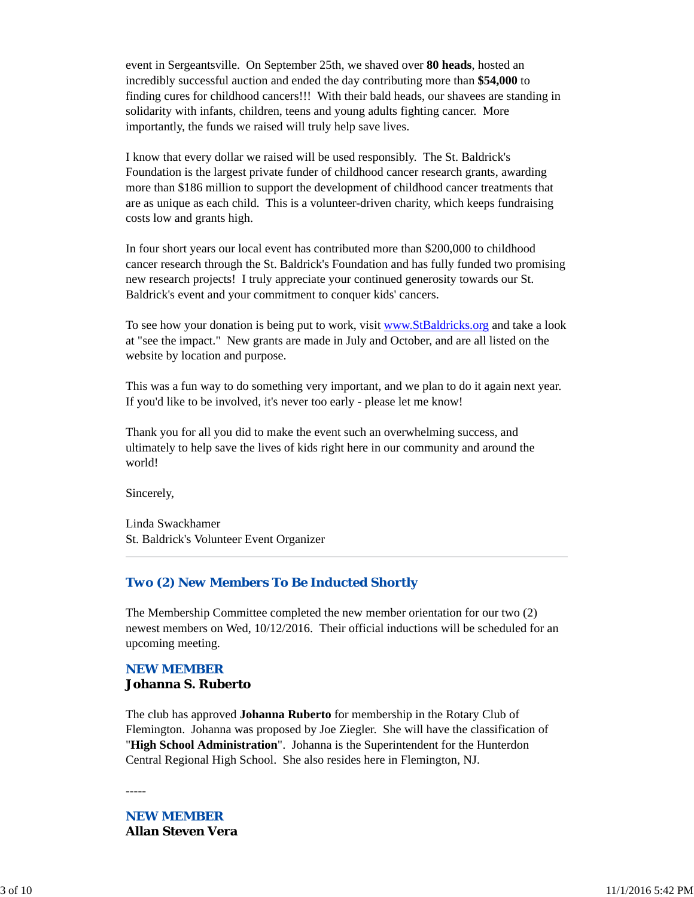event in Sergeantsville. On September 25th, we shaved over **80 heads**, hosted an incredibly successful auction and ended the day contributing more than **\$54,000** to finding cures for childhood cancers!!! With their bald heads, our shavees are standing in solidarity with infants, children, teens and young adults fighting cancer. More importantly, the funds we raised will truly help save lives.

I know that every dollar we raised will be used responsibly. The St. Baldrick's Foundation is the largest private funder of childhood cancer research grants, awarding more than \$186 million to support the development of childhood cancer treatments that are as unique as each child. This is a volunteer-driven charity, which keeps fundraising costs low and grants high.

In four short years our local event has contributed more than \$200,000 to childhood cancer research through the St. Baldrick's Foundation and has fully funded two promising new research projects! I truly appreciate your continued generosity towards our St. Baldrick's event and your commitment to conquer kids' cancers.

To see how your donation is being put to work, visit www.StBaldricks.org and take a look at "see the impact." New grants are made in July and October, and are all listed on the website by location and purpose.

This was a fun way to do something very important, and we plan to do it again next year. If you'd like to be involved, it's never too early - please let me know!

Thank you for all you did to make the event such an overwhelming success, and ultimately to help save the lives of kids right here in our community and around the world!

Sincerely,

Linda Swackhamer St. Baldrick's Volunteer Event Organizer

## *Two (2) New Members To Be Inducted Shortly*

The Membership Committee completed the new member orientation for our two (2) newest members on Wed, 10/12/2016. Their official inductions will be scheduled for an upcoming meeting.

## *NEW MEMBER* **Johanna S. Ruberto**

The club has approved **Johanna Ruberto** for membership in the Rotary Club of Flemington. Johanna was proposed by Joe Ziegler. She will have the classification of "**High School Administration**". Johanna is the Superintendent for the Hunterdon Central Regional High School. She also resides here in Flemington, NJ.

-----

# *NEW MEMBER* **Allan Steven Vera**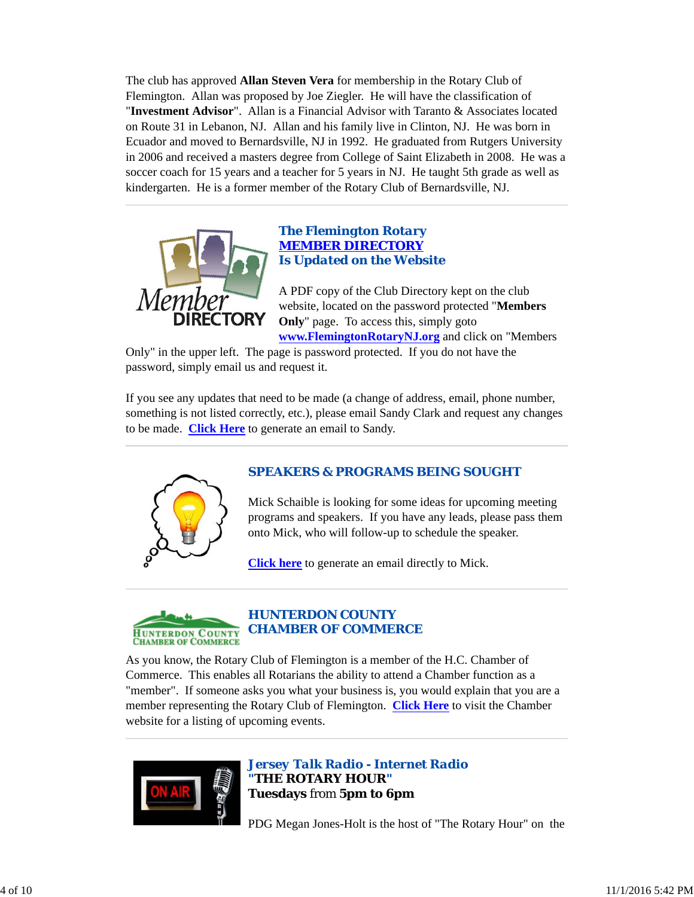The club has approved **Allan Steven Vera** for membership in the Rotary Club of Flemington. Allan was proposed by Joe Ziegler. He will have the classification of "**Investment Advisor**". Allan is a Financial Advisor with Taranto & Associates located on Route 31 in Lebanon, NJ. Allan and his family live in Clinton, NJ. He was born in Ecuador and moved to Bernardsville, NJ in 1992. He graduated from Rutgers University in 2006 and received a masters degree from College of Saint Elizabeth in 2008. He was a soccer coach for 15 years and a teacher for 5 years in NJ. He taught 5th grade as well as kindergarten. He is a former member of the Rotary Club of Bernardsville, NJ.



## *The Flemington Rotary MEMBER DIRECTORY Is Updated on the Website*

A PDF copy of the Club Directory kept on the club website, located on the password protected "**Members Only**" page. To access this, simply goto **www.FlemingtonRotaryNJ.org** and click on "Members

Only" in the upper left. The page is password protected. If you do not have the password, simply email us and request it.

If you see any updates that need to be made (a change of address, email, phone number, something is not listed correctly, etc.), please email Sandy Clark and request any changes to be made. **Click Here** to generate an email to Sandy.



# *SPEAKERS & PROGRAMS BEING SOUGHT*

Mick Schaible is looking for some ideas for upcoming meeting programs and speakers. If you have any leads, please pass them onto Mick, who will follow-up to schedule the speaker.

**Click here** to generate an email directly to Mick.



As you know, the Rotary Club of Flemington is a member of the H.C. Chamber of Commerce. This enables all Rotarians the ability to attend a Chamber function as a "member". If someone asks you what your business is, you would explain that you are a member representing the Rotary Club of Flemington. **Click Here** to visit the Chamber website for a listing of upcoming events.



*Jersey Talk Radio - Internet Radio "THE ROTARY HOUR"* **Tuesdays** from **5pm to 6pm**

PDG Megan Jones-Holt is the host of "The Rotary Hour" on the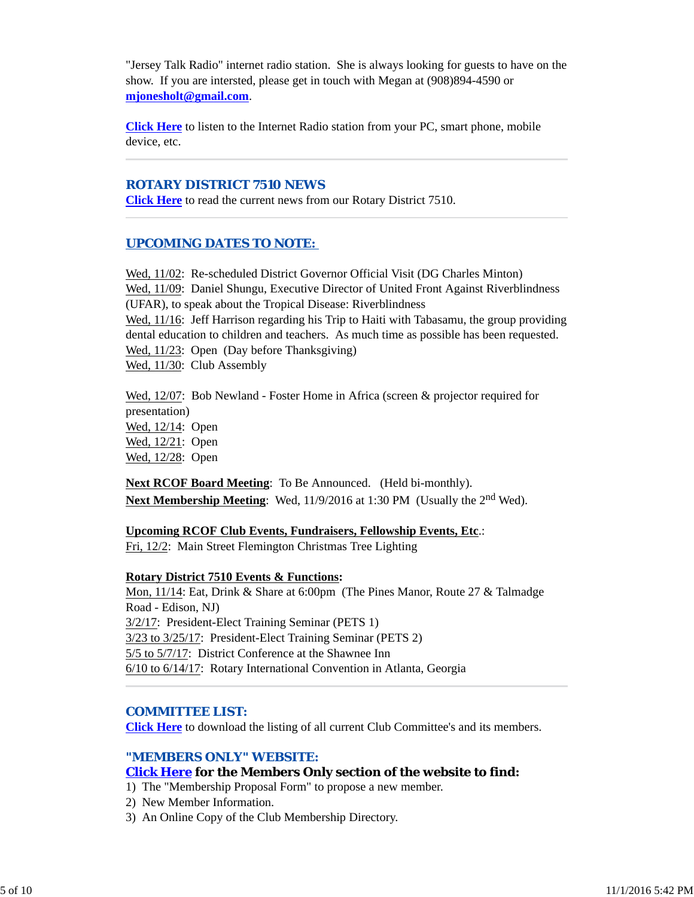"Jersey Talk Radio" internet radio station. She is always looking for guests to have on the show. If you are intersted, please get in touch with Megan at (908)894-4590 or **mjonesholt@gmail.com**.

**Click Here** to listen to the Internet Radio station from your PC, smart phone, mobile device, etc.

#### *ROTARY DISTRICT 7510 NEWS*

**Click Here** to read the current news from our Rotary District 7510.

#### *UPCOMING DATES TO NOTE:*

Wed, 11/02: Re-scheduled District Governor Official Visit (DG Charles Minton) Wed, 11/09: Daniel Shungu, Executive Director of United Front Against Riverblindness (UFAR), to speak about the Tropical Disease: Riverblindness Wed,  $11/16$ : Jeff Harrison regarding his Trip to Haiti with Tabasamu, the group providing dental education to children and teachers. As much time as possible has been requested. Wed, 11/23: Open (Day before Thanksgiving) Wed,  $11/30$ : Club Assembly

Wed, 12/07: Bob Newland - Foster Home in Africa (screen & projector required for presentation) Wed, 12/14: Open Wed, 12/21: Open Wed, 12/28: Open

**Next RCOF Board Meeting:** To Be Announced. (Held bi-monthly). **Next Membership Meeting**: Wed, 11/9/2016 at 1:30 PM (Usually the 2<sup>nd</sup> Wed).

## **Upcoming RCOF Club Events, Fundraisers, Fellowship Events, Etc**.:

Fri, 12/2: Main Street Flemington Christmas Tree Lighting

#### **Rotary District 7510 Events & Functions:**

Mon, 11/14: Eat, Drink & Share at 6:00pm (The Pines Manor, Route 27 & Talmadge Road - Edison, NJ) 3/2/17: President-Elect Training Seminar (PETS 1) 3/23 to 3/25/17: President-Elect Training Seminar (PETS 2) 5/5 to 5/7/17: District Conference at the Shawnee Inn 6/10 to 6/14/17: Rotary International Convention in Atlanta, Georgia

#### *COMMITTEE LIST:*

**Click Here** to download the listing of all current Club Committee's and its members.

## *"MEMBERS ONLY" WEBSITE:*

## **Click Here for the Members Only section of the website to find:**

- 1) The "Membership Proposal Form" to propose a new member.
- 2) New Member Information.
- 3) An Online Copy of the Club Membership Directory.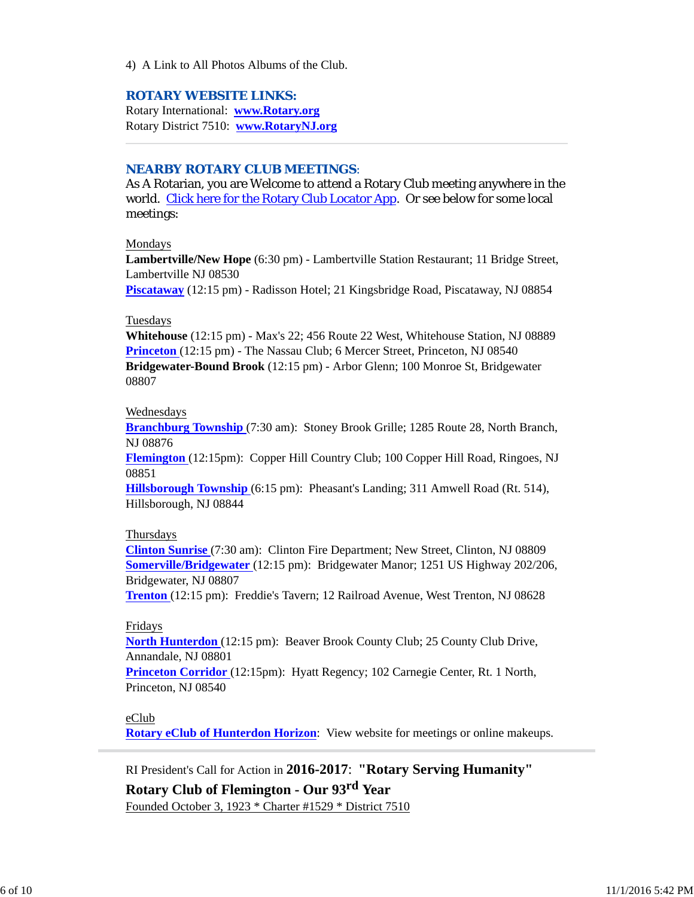4) A Link to All Photos Albums of the Club.

#### *ROTARY WEBSITE LINKS:*

Rotary International: **www.Rotary.org** Rotary District 7510: **www.RotaryNJ.org**

#### *NEARBY ROTARY CLUB MEETINGS:*

As A Rotarian, you are Welcome to attend a Rotary Club meeting anywhere in the world. Click here for the Rotary Club Locator App. Or see below for some local meetings:

#### Mondays

**Lambertville/New Hope** (6:30 pm) - Lambertville Station Restaurant; 11 Bridge Street, Lambertville NJ 08530

**Piscataway** (12:15 pm) - Radisson Hotel; 21 Kingsbridge Road, Piscataway, NJ 08854

#### Tuesdays

**Whitehouse** (12:15 pm) - Max's 22; 456 Route 22 West, Whitehouse Station, NJ 08889 **Princeton** (12:15 pm) - The Nassau Club; 6 Mercer Street, Princeton, NJ 08540 **Bridgewater-Bound Brook** (12:15 pm) - Arbor Glenn; 100 Monroe St, Bridgewater 08807

#### Wednesdays

**Branchburg Township** (7:30 am): Stoney Brook Grille; 1285 Route 28, North Branch, NJ 08876

**Flemington** (12:15pm): Copper Hill Country Club; 100 Copper Hill Road, Ringoes, NJ 08851

**Hillsborough Township** (6:15 pm): Pheasant's Landing; 311 Amwell Road (Rt. 514), Hillsborough, NJ 08844

#### Thursdays

**Clinton Sunrise** (7:30 am): Clinton Fire Department; New Street, Clinton, NJ 08809 **Somerville/Bridgewater** (12:15 pm): Bridgewater Manor; 1251 US Highway 202/206, Bridgewater, NJ 08807

**Trenton** (12:15 pm): Freddie's Tavern; 12 Railroad Avenue, West Trenton, NJ 08628

#### Fridays

**North Hunterdon** (12:15 pm): Beaver Brook County Club; 25 County Club Drive, Annandale, NJ 08801

**Princeton Corridor** (12:15pm): Hyatt Regency; 102 Carnegie Center, Rt. 1 North, Princeton, NJ 08540

## eClub

**Rotary eClub of Hunterdon Horizon**: View website for meetings or online makeups.

RI President's Call for Action in **2016-2017**: **"Rotary Serving Humanity" Rotary Club of Flemington - Our 93rd Year** Founded October 3, 1923 \* Charter #1529 \* District 7510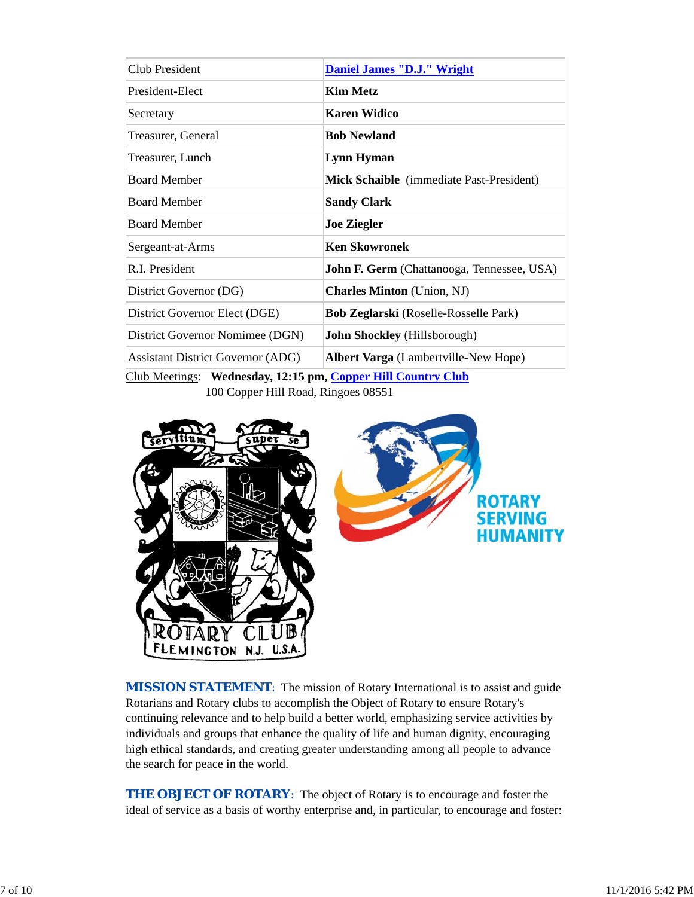| Club President                                                         | <b>Daniel James "D.J." Wright</b>                 |  |  |
|------------------------------------------------------------------------|---------------------------------------------------|--|--|
| President-Elect                                                        | <b>Kim Metz</b>                                   |  |  |
| Secretary                                                              | <b>Karen Widico</b>                               |  |  |
| Treasurer, General                                                     | <b>Bob Newland</b>                                |  |  |
| Treasurer, Lunch                                                       | <b>Lynn Hyman</b>                                 |  |  |
| <b>Board Member</b>                                                    | Mick Schaible (immediate Past-President)          |  |  |
| <b>Board Member</b>                                                    | <b>Sandy Clark</b>                                |  |  |
| <b>Board Member</b>                                                    | <b>Joe Ziegler</b>                                |  |  |
| Sergeant-at-Arms                                                       | <b>Ken Skowronek</b>                              |  |  |
| R.I. President                                                         | <b>John F. Germ</b> (Chattanooga, Tennessee, USA) |  |  |
| District Governor (DG)                                                 | <b>Charles Minton</b> (Union, NJ)                 |  |  |
| District Governor Elect (DGE)                                          | <b>Bob Zeglarski</b> (Roselle-Rosselle Park)      |  |  |
| District Governor Nomimee (DGN)                                        | <b>John Shockley</b> (Hillsborough)               |  |  |
| <b>Assistant District Governor (ADG)</b>                               | <b>Albert Varga</b> (Lambertville-New Hope)       |  |  |
| $C_{\text{lab}}$ Mootings: Wodnesday 12:15 nm Connor Hill Country Club |                                                   |  |  |

Club Meetings: **Wednesday, 12:15 pm, Copper Hill Country Club**

100 Copper Hill Road, Ringoes 08551



**MISSION STATEMENT:** The mission of Rotary International is to assist and guide Rotarians and Rotary clubs to accomplish the Object of Rotary to ensure Rotary's continuing relevance and to help build a better world, emphasizing service activities by individuals and groups that enhance the quality of life and human dignity, encouraging high ethical standards, and creating greater understanding among all people to advance the search for peace in the world.

**THE OBJECT OF ROTARY:** The object of Rotary is to encourage and foster the ideal of service as a basis of worthy enterprise and, in particular, to encourage and foster: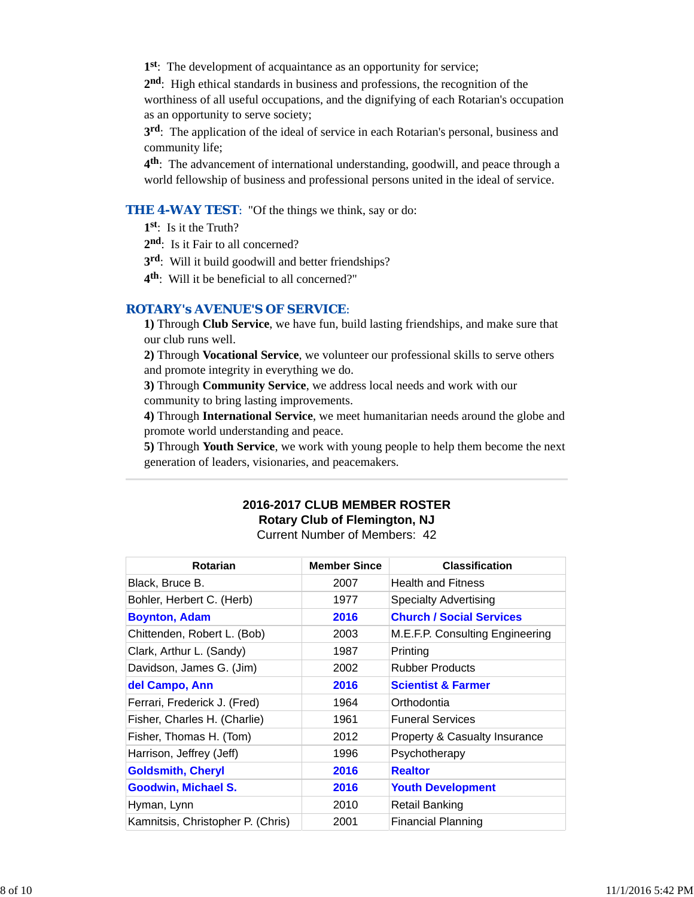**1st**: The development of acquaintance as an opportunity for service;

**2nd**: High ethical standards in business and professions, the recognition of the worthiness of all useful occupations, and the dignifying of each Rotarian's occupation as an opportunity to serve society;

**3rd**: The application of the ideal of service in each Rotarian's personal, business and community life;

**4th**: The advancement of international understanding, goodwill, and peace through a world fellowship of business and professional persons united in the ideal of service.

#### **THE 4-WAY TEST:** "Of the things we think, say or do:

**1st**: Is it the Truth?

2<sup>nd</sup>: Is it Fair to all concerned?

**3rd**: Will it build goodwill and better friendships?

**4th**: Will it be beneficial to all concerned?"

#### *ROTARY's AVENUE'S OF SERVICE*:

**1)** Through **Club Service**, we have fun, build lasting friendships, and make sure that our club runs well.

**2)** Through **Vocational Service**, we volunteer our professional skills to serve others and promote integrity in everything we do.

**3)** Through **Community Service**, we address local needs and work with our community to bring lasting improvements.

**4)** Through **International Service**, we meet humanitarian needs around the globe and promote world understanding and peace.

**5)** Through **Youth Service**, we work with young people to help them become the next generation of leaders, visionaries, and peacemakers.

#### **2016-2017 CLUB MEMBER ROSTER Rotary Club of Flemington, NJ** Current Number of Members: 42

| <b>Rotarian</b>                   | <b>Member Since</b> | <b>Classification</b>           |
|-----------------------------------|---------------------|---------------------------------|
| Black, Bruce B.                   | 2007                | <b>Health and Fitness</b>       |
| Bohler, Herbert C. (Herb)         | 1977                | <b>Specialty Advertising</b>    |
| <b>Boynton, Adam</b>              | 2016                | <b>Church / Social Services</b> |
| Chittenden, Robert L. (Bob)       | 2003                | M.E.F.P. Consulting Engineering |
| Clark, Arthur L. (Sandy)          | 1987                | Printing                        |
| Davidson, James G. (Jim)          | 2002                | <b>Rubber Products</b>          |
| del Campo, Ann                    | 2016                | <b>Scientist &amp; Farmer</b>   |
| Ferrari, Frederick J. (Fred)      | 1964                | Orthodontia                     |
| Fisher, Charles H. (Charlie)      | 1961                | <b>Funeral Services</b>         |
| Fisher, Thomas H. (Tom)           | 2012                | Property & Casualty Insurance   |
| Harrison, Jeffrey (Jeff)          | 1996                | Psychotherapy                   |
| <b>Goldsmith, Cheryl</b>          | 2016                | <b>Realtor</b>                  |
| Goodwin, Michael S.               | 2016                | <b>Youth Development</b>        |
| Hyman, Lynn                       | 2010                | <b>Retail Banking</b>           |
| Kamnitsis, Christopher P. (Chris) | 2001                | <b>Financial Planning</b>       |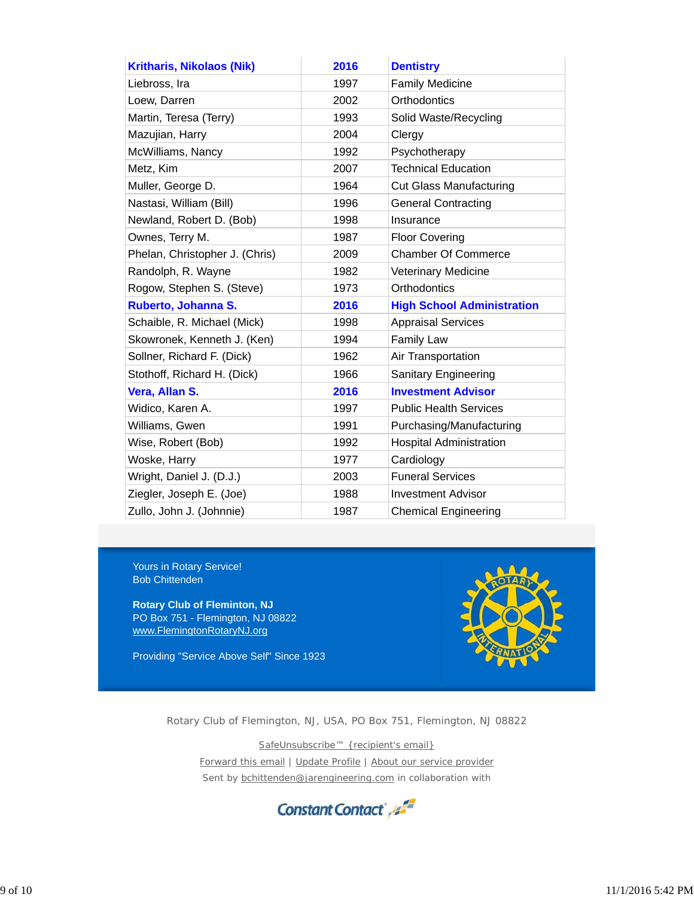| <b>Kritharis, Nikolaos (Nik)</b> | 2016 | <b>Dentistry</b>                  |
|----------------------------------|------|-----------------------------------|
| Liebross, Ira                    | 1997 | <b>Family Medicine</b>            |
| Loew, Darren                     | 2002 | Orthodontics                      |
| Martin, Teresa (Terry)           | 1993 | Solid Waste/Recycling             |
| Mazujian, Harry                  | 2004 | Clergy                            |
| McWilliams, Nancy                | 1992 | Psychotherapy                     |
| Metz, Kim                        | 2007 | <b>Technical Education</b>        |
| Muller, George D.                | 1964 | <b>Cut Glass Manufacturing</b>    |
| Nastasi, William (Bill)          | 1996 | <b>General Contracting</b>        |
| Newland, Robert D. (Bob)         | 1998 | Insurance                         |
| Ownes, Terry M.                  | 1987 | <b>Floor Covering</b>             |
| Phelan, Christopher J. (Chris)   | 2009 | <b>Chamber Of Commerce</b>        |
| Randolph, R. Wayne               | 1982 | <b>Veterinary Medicine</b>        |
| Rogow, Stephen S. (Steve)        | 1973 | Orthodontics                      |
| Ruberto, Johanna S.              | 2016 | <b>High School Administration</b> |
| Schaible, R. Michael (Mick)      | 1998 | <b>Appraisal Services</b>         |
| Skowronek, Kenneth J. (Ken)      | 1994 | <b>Family Law</b>                 |
| Sollner, Richard F. (Dick)       | 1962 | Air Transportation                |
| Stothoff, Richard H. (Dick)      | 1966 | <b>Sanitary Engineering</b>       |
| Vera, Allan S.                   | 2016 | <b>Investment Advisor</b>         |
| Widico, Karen A.                 | 1997 | <b>Public Health Services</b>     |
| Williams, Gwen                   | 1991 | Purchasing/Manufacturing          |
| Wise, Robert (Bob)               | 1992 | <b>Hospital Administration</b>    |
| Woske, Harry                     | 1977 | Cardiology                        |
| Wright, Daniel J. (D.J.)         | 2003 | <b>Funeral Services</b>           |
| Ziegler, Joseph E. (Joe)         | 1988 | <b>Investment Advisor</b>         |
| Zullo, John J. (Johnnie)         | 1987 | <b>Chemical Engineering</b>       |

Yours in Rotary Service! Bob Chittenden

**Rotary Club of Fleminton, NJ** PO Box 751 - Flemington, NJ 08822 www.FlemingtonRotaryNJ.org

Providing "Service Above Self" Since 1923



Rotary Club of Flemington, NJ, USA, PO Box 751, Flemington, NJ 08822

SafeUnsubscribe™ {recipient's email}

Forward this email | Update Profile | About our service provider Sent by bchittenden@jarengineering.com in collaboration with